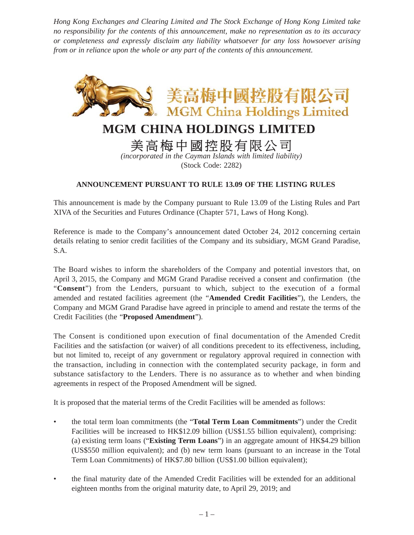*Hong Kong Exchanges and Clearing Limited and The Stock Exchange of Hong Kong Limited take no responsibility for the contents of this announcement, make no representation as to its accuracy or completeness and expressly disclaim any liability whatsoever for any loss howsoever arising from or in reliance upon the whole or any part of the contents of this announcement.*



## **MGM CHINA HOLDINGS LIMITED**

美高梅中國控股有限公司

*(incorporated in the Cayman Islands with limited liability)* (Stock Code: 2282)

## **ANNOUNCEMENT PURSUANT TO RULE 13.09 OF THE LISTING RULES**

This announcement is made by the Company pursuant to Rule 13.09 of the Listing Rules and Part XIVA of the Securities and Futures Ordinance (Chapter 571, Laws of Hong Kong).

Reference is made to the Company's announcement dated October 24, 2012 concerning certain details relating to senior credit facilities of the Company and its subsidiary, MGM Grand Paradise, S.A.

The Board wishes to inform the shareholders of the Company and potential investors that, on April 3, 2015, the Company and MGM Grand Paradise received a consent and confirmation (the "**Consent**") from the Lenders, pursuant to which, subject to the execution of a formal amended and restated facilities agreement (the "**Amended Credit Facilities**"), the Lenders, the Company and MGM Grand Paradise have agreed in principle to amend and restate the terms of the Credit Facilities (the "**Proposed Amendment**").

The Consent is conditioned upon execution of final documentation of the Amended Credit Facilities and the satisfaction (or waiver) of all conditions precedent to its effectiveness, including, but not limited to, receipt of any government or regulatory approval required in connection with the transaction, including in connection with the contemplated security package, in form and substance satisfactory to the Lenders. There is no assurance as to whether and when binding agreements in respect of the Proposed Amendment will be signed.

It is proposed that the material terms of the Credit Facilities will be amended as follows:

- the total term loan commitments (the "**Total Term Loan Commitments**") under the Credit Facilities will be increased to HK\$12.09 billion (US\$1.55 billion equivalent), comprising: (a) existing term loans ("**Existing Term Loans**") in an aggregate amount of HK\$4.29 billion (US\$550 million equivalent); and (b) new term loans (pursuant to an increase in the Total Term Loan Commitments) of HK\$7.80 billion (US\$1.00 billion equivalent);
- the final maturity date of the Amended Credit Facilities will be extended for an additional eighteen months from the original maturity date, to April 29, 2019; and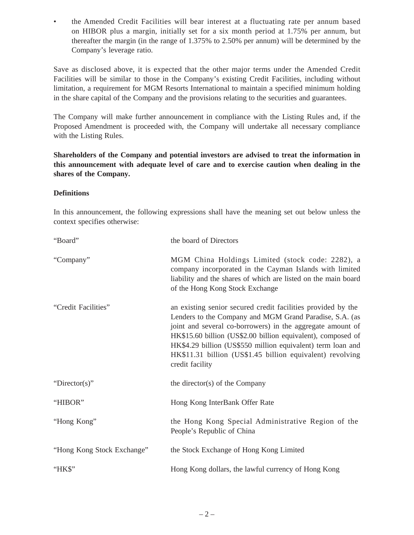• the Amended Credit Facilities will bear interest at a fluctuating rate per annum based on HIBOR plus a margin, initially set for a six month period at 1.75% per annum, but thereafter the margin (in the range of 1.375% to 2.50% per annum) will be determined by the Company's leverage ratio.

Save as disclosed above, it is expected that the other major terms under the Amended Credit Facilities will be similar to those in the Company's existing Credit Facilities, including without limitation, a requirement for MGM Resorts International to maintain a specified minimum holding in the share capital of the Company and the provisions relating to the securities and guarantees.

The Company will make further announcement in compliance with the Listing Rules and, if the Proposed Amendment is proceeded with, the Company will undertake all necessary compliance with the Listing Rules.

**Shareholders of the Company and potential investors are advised to treat the information in this announcement with adequate level of care and to exercise caution when dealing in the shares of the Company.**

## **Definitions**

In this announcement, the following expressions shall have the meaning set out below unless the context specifies otherwise:

| "Board"                    | the board of Directors                                                                                                                                                                                                                                                                                                                                                                               |
|----------------------------|------------------------------------------------------------------------------------------------------------------------------------------------------------------------------------------------------------------------------------------------------------------------------------------------------------------------------------------------------------------------------------------------------|
| "Company"                  | MGM China Holdings Limited (stock code: 2282), a<br>company incorporated in the Cayman Islands with limited<br>liability and the shares of which are listed on the main board<br>of the Hong Kong Stock Exchange                                                                                                                                                                                     |
| "Credit Facilities"        | an existing senior secured credit facilities provided by the<br>Lenders to the Company and MGM Grand Paradise, S.A. (as<br>joint and several co-borrowers) in the aggregate amount of<br>HK\$15.60 billion (US\$2.00 billion equivalent), composed of<br>HK\$4.29 billion (US\$550 million equivalent) term loan and<br>HK\$11.31 billion (US\$1.45 billion equivalent) revolving<br>credit facility |
| "Director(s)"              | the director(s) of the Company                                                                                                                                                                                                                                                                                                                                                                       |
| "HIBOR"                    | Hong Kong InterBank Offer Rate                                                                                                                                                                                                                                                                                                                                                                       |
| "Hong Kong"                | the Hong Kong Special Administrative Region of the<br>People's Republic of China                                                                                                                                                                                                                                                                                                                     |
| "Hong Kong Stock Exchange" | the Stock Exchange of Hong Kong Limited                                                                                                                                                                                                                                                                                                                                                              |
| "HK\$"                     | Hong Kong dollars, the lawful currency of Hong Kong                                                                                                                                                                                                                                                                                                                                                  |